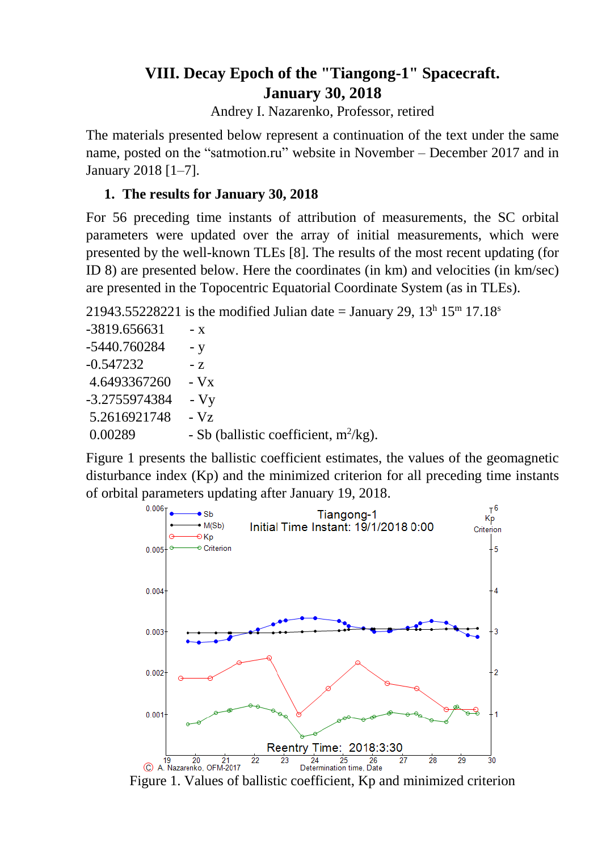# **VIII. Decay Epoch of the "Tiangong-1" Spacecraft. January 30, 2018**

Andrey I. Nazarenko, Professor, retired

The materials presented below represent a continuation of the text under the same name, posted on the "satmotion.ru" website in November – December 2017 and in January 2018 [1–7].

## **1. The results for January 30, 2018**

For 56 preceding time instants of attribution of measurements, the SC orbital parameters were updated over the array of initial measurements, which were presented by the well-known TLEs [8]. The results of the most recent updating (for ID 8) are presented below. Here the coordinates (in km) and velocities (in km/sec) are presented in the Topocentric Equatorial Coordinate System (as in TLEs).

21943.55228221 is the modified Julian date = January 29,  $13^h 15^m 17.18^s$ 

| -3819.656631  | - X                                      |
|---------------|------------------------------------------|
| -5440.760284  | - y                                      |
| $-0.547232$   | $-7$                                     |
| 4.6493367260  | $-Vx$                                    |
| -3.2755974384 | $-Vy$                                    |
| 5.2616921748  | $-Vz$                                    |
| 0.00289       | - Sb (ballistic coefficient, $m^2/kg$ ). |

Figure 1 presents the ballistic coefficient estimates, the values of the geomagnetic disturbance index (Kp) and the minimized criterion for all preceding time instants of orbital parameters updating after January 19, 2018.



Figure 1. Values of ballistic coefficient, Kp and minimized criterion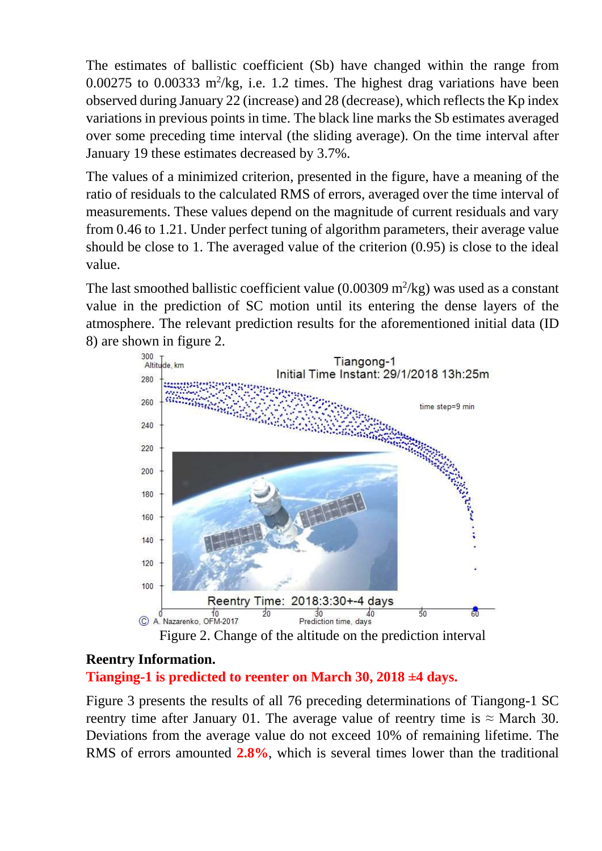The estimates of ballistic coefficient (Sb) have changed within the range from  $0.00275$  to  $0.00333$  m<sup>2</sup>/kg, i.e. 1.2 times. The highest drag variations have been observed during January 22 (increase) and 28 (decrease), which reflects the Kp index variations in previous points in time. The black line marks the Sb estimates averaged over some preceding time interval (the sliding average). On the time interval after January 19 these estimates decreased by 3.7%.

The values of a minimized criterion, presented in the figure, have a meaning of the ratio of residuals to the calculated RMS of errors, averaged over the time interval of measurements. These values depend on the magnitude of current residuals and vary from 0.46 to 1.21. Under perfect tuning of algorithm parameters, their average value should be close to 1. The averaged value of the criterion (0.95) is close to the ideal value.

The last smoothed ballistic coefficient value  $(0.00309 \text{ m}^2/\text{kg})$  was used as a constant value in the prediction of SC motion until its entering the dense layers of the atmosphere. The relevant prediction results for the aforementioned initial data (ID 8) are shown in figure 2.



## **Reentry Information.**

## **Tianging-1 is predicted to reenter on March 30, 2018 ±4 days.**

Figure 3 presents the results of all 76 preceding determinations of Tiangong-1 SC reentry time after January 01. The average value of reentry time is  $\approx$  March 30. Deviations from the average value do not exceed 10% of remaining lifetime. The RMS of errors amounted **2.8%**, which is several times lower than the traditional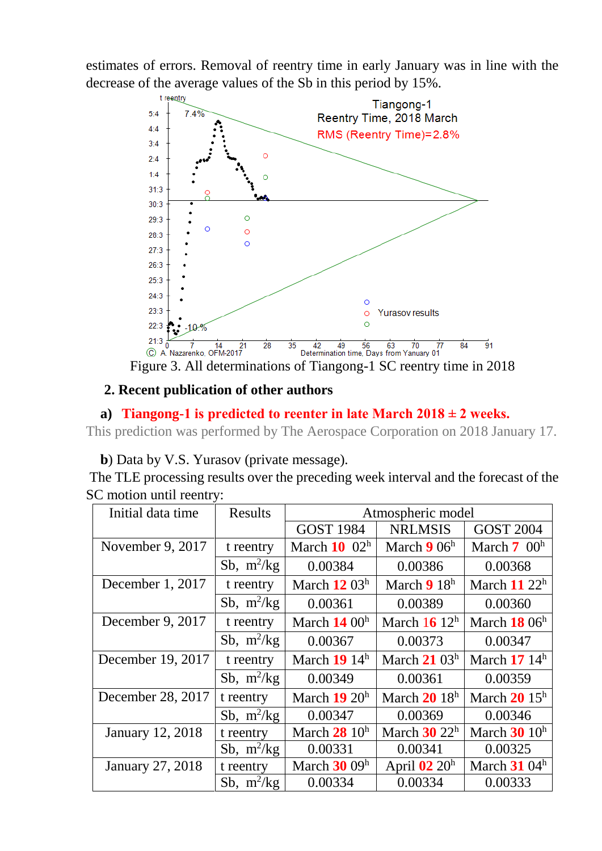estimates of errors. Removal of reentry time in early January was in line with the decrease of the average values of the Sb in this period by 15%.



Figure 3. All determinations of Tiangong-1 SC reentry time in 2018

## **2. Recent publication of other authors**

## a) **Tiangong-1** is predicted to reenter in late March  $2018 \pm 2$  weeks.

This prediction was performed by The Aerospace Corporation on 2018 January 17.

**b**) Data by V.S. Yurasov (private message).

The TLE processing results over the preceding week interval and the forecast of the SC motion until reentry:

| Initial data time       | <b>Results</b> |                  | Atmospheric model |                  |  |
|-------------------------|----------------|------------------|-------------------|------------------|--|
|                         |                | <b>GOST 1984</b> | <b>NRLMSIS</b>    | <b>GOST 2004</b> |  |
| November 9, 2017        | t reentry      | March $10^{10}$  | March $906h$      | March $7 \ 00^h$ |  |
|                         | Sb, $m^2/kg$   | 0.00384          | 0.00386           | 0.00368          |  |
| December 1, 2017        | t reentry      | March $12\,03^h$ | March $918h$      | March $11\ 22^h$ |  |
|                         | Sb, $m^2/kg$   | 0.00361          | 0.00389           | 0.00360          |  |
| December 9, 2017        | t reentry      | March $1400h$    | March $1612h$     | March $1806h$    |  |
|                         | Sb, $m^2/kg$   | 0.00367          | 0.00373           | 0.00347          |  |
| December 19, 2017       | t reentry      | March $1914h$    | March $21\,03^h$  | March $1714h$    |  |
|                         | Sb, $m^2/kg$   | 0.00349          | 0.00361           | 0.00359          |  |
| December 28, 2017       | t reentry      | March $19~20h$   | March $2018h$     | March $2015^h$   |  |
|                         | Sb, $m^2/kg$   | 0.00347          | 0.00369           | 0.00346          |  |
| <b>January 12, 2018</b> | t reentry      | March $2810h$    | March $30\ 22^h$  | March $30$ $10h$ |  |
|                         | Sb, $m^2/kg$   | 0.00331          | 0.00341           | 0.00325          |  |
| <b>January 27, 2018</b> | t reentry      | March $3009h$    | April $02 20h$    | March $3104h$    |  |
|                         | Sb, $m^2/kg$   | 0.00334          | 0.00334           | 0.00333          |  |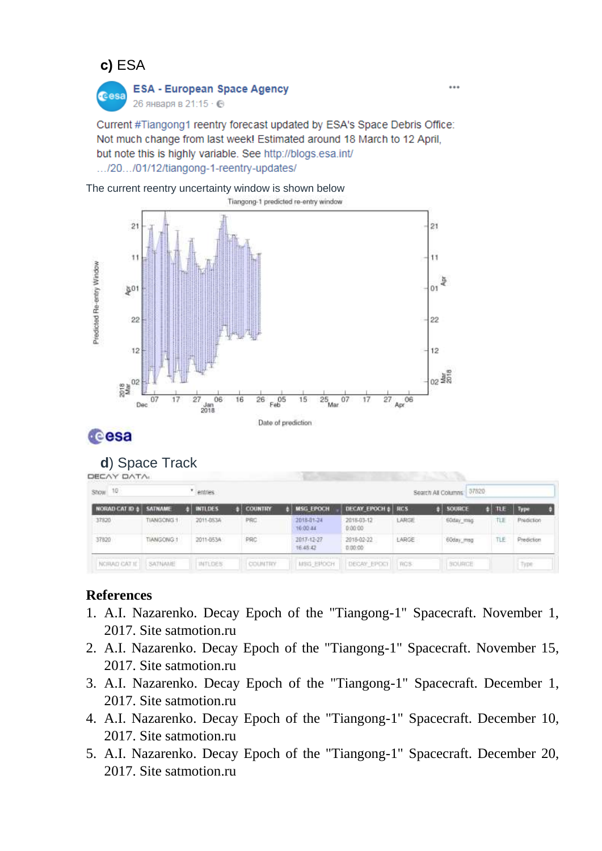## **с)** ESA



# **ESA - European Space Agency**

26 января в 21:15 · ©

Current #Tiangong1 reentry forecast updated by ESA's Space Debris Office: Not much change from last week! Estimated around 18 March to 12 April. but note this is highly variable. See http://blogs.esa.int/ .../20.../01/12/tiangong-1-reentry-updates/

The current reentry uncertainty window is shown below



# **Cesa**

#### **d**) Space Track DECAY DATA

| Show 10                    |                                                         |  | entries                                      |  |                |  |                        |                       |       |  | 37820<br>Search All Columns |  |            |                         |  |
|----------------------------|---------------------------------------------------------|--|----------------------------------------------|--|----------------|--|------------------------|-----------------------|-------|--|-----------------------------|--|------------|-------------------------|--|
| <b>NORAD CAT ID \$</b>     | <b>SATNAME</b>                                          |  | <b>INTLDES</b>                               |  | <b>COUNTRY</b> |  | <b>MSG EPOCH</b>       | DECAY EPOCH #         | RCS   |  | SOURCE                      |  | <b>TLE</b> | Тури                    |  |
| 37820                      | TIANGONG 1<br>and the Control of the Control of the Co- |  | 2011-053A<br><u> Maria Televizioni di Ca</u> |  | PRC.           |  | 2018-01-24<br>16:00:44 | 2018-03-12<br>0.00.00 | LARGE |  | <b>EOday</b> msg            |  | TLE.       | Prediction<br>アンティー・アール |  |
| 37820<br><b>STATISTICS</b> | TIANGONG 1<br>POPULATION AND LOCAL                      |  | 2011-0534<br>アイソドライン ひとこう                    |  | PRC<br>---     |  | 2017-12-27<br>16:48:42 | 2018-02-22<br>0.00.00 | LARGE |  | 60day_msg                   |  | TLE        | Prediction<br>93663390  |  |
| NCIRAD CAT II              | SATNAME                                                 |  | <b>INTLOES</b>                               |  | COUNTRY        |  | MSG EPOCH              | DECAY EPOCT           | 7005  |  | SQUADE                      |  |            | Type                    |  |

### **References**

- 1. A.I. Nazarenko. Decay Epoch of the "Tiangong-1" Spacecraft. November 1, 2017. Site satmotion.ru
- 2. A.I. Nazarenko. Decay Epoch of the "Tiangong-1" Spacecraft. November 15, 2017. Site satmotion.ru
- 3. A.I. Nazarenko. Decay Epoch of the "Tiangong-1" Spacecraft. December 1, 2017. Site satmotion.ru
- 4. A.I. Nazarenko. Decay Epoch of the "Tiangong-1" Spacecraft. December 10, 2017. Site satmotion.ru
- 5. A.I. Nazarenko. Decay Epoch of the "Tiangong-1" Spacecraft. December 20, 2017. Site satmotion.ru